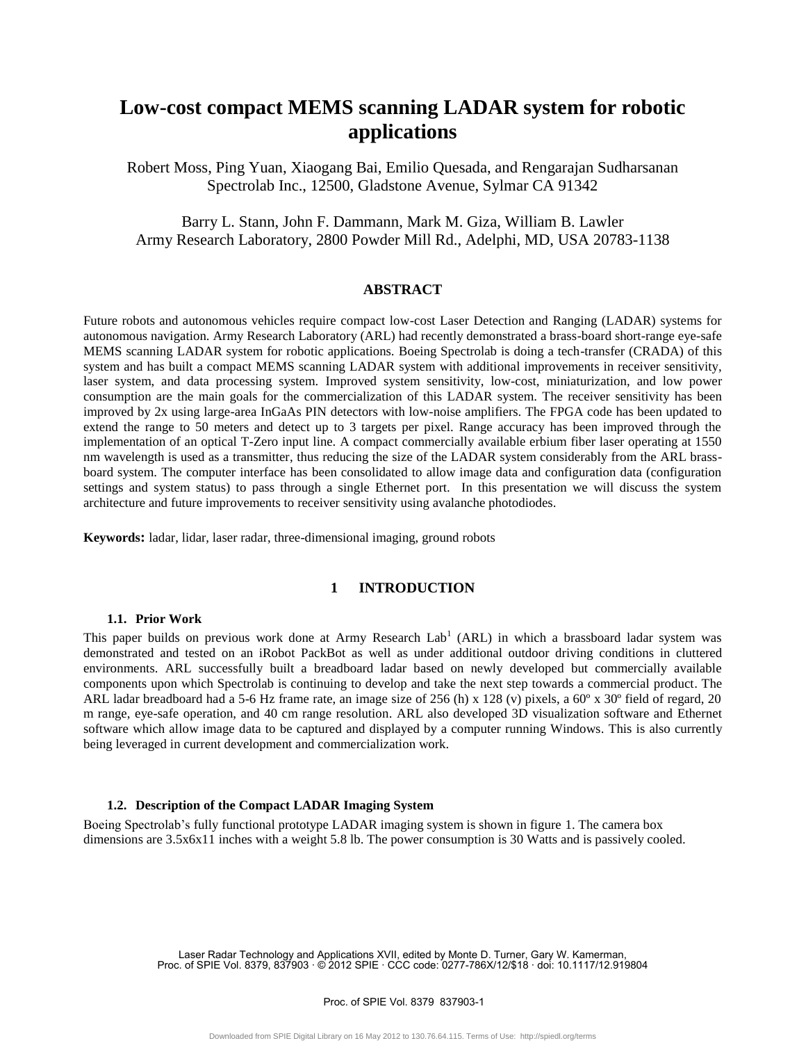# **Low-cost compact MEMS scanning LADAR system for robotic applications**

Robert Moss, Ping Yuan, Xiaogang Bai, Emilio Quesada, and Rengarajan Sudharsanan Spectrolab Inc., 12500, Gladstone Avenue, Sylmar CA 91342

Barry L. Stann, John F. Dammann, Mark M. Giza, William B. Lawler Army Research Laboratory, 2800 Powder Mill Rd., Adelphi, MD, USA 20783-1138

# **ABSTRACT**

Future robots and autonomous vehicles require compact low-cost Laser Detection and Ranging (LADAR) systems for autonomous navigation. Army Research Laboratory (ARL) had recently demonstrated a brass-board short-range eye-safe MEMS scanning LADAR system for robotic applications. Boeing Spectrolab is doing a tech-transfer (CRADA) of this system and has built a compact MEMS scanning LADAR system with additional improvements in receiver sensitivity, laser system, and data processing system. Improved system sensitivity, low-cost, miniaturization, and low power consumption are the main goals for the commercialization of this LADAR system. The receiver sensitivity has been improved by 2x using large-area InGaAs PIN detectors with low-noise amplifiers. The FPGA code has been updated to extend the range to 50 meters and detect up to 3 targets per pixel. Range accuracy has been improved through the implementation of an optical T-Zero input line. A compact commercially available erbium fiber laser operating at 1550 nm wavelength is used as a transmitter, thus reducing the size of the LADAR system considerably from the ARL brassboard system. The computer interface has been consolidated to allow image data and configuration data (configuration settings and system status) to pass through a single Ethernet port. In this presentation we will discuss the system architecture and future improvements to receiver sensitivity using avalanche photodiodes.

**Keywords:** ladar, lidar, laser radar, three-dimensional imaging, ground robots

# **1 INTRODUCTION**

#### **1.1. Prior Work**

This paper builds on previous work done at Army Research Lab<sup>1</sup> (ARL) in which a brassboard ladar system was demonstrated and tested on an iRobot PackBot as well as under additional outdoor driving conditions in cluttered environments. ARL successfully built a breadboard ladar based on newly developed but commercially available components upon which Spectrolab is continuing to develop and take the next step towards a commercial product. The ARL ladar breadboard had a 5-6 Hz frame rate, an image size of 256 (h) x 128 (v) pixels, a 60º x 30º field of regard, 20 m range, eye-safe operation, and 40 cm range resolution. ARL also developed 3D visualization software and Ethernet software which allow image data to be captured and displayed by a computer running Windows. This is also currently being leveraged in current development and commercialization work.

## **1.2. Description of the Compact LADAR Imaging System**

Boeing Spectrolab's fully functional prototype LADAR imaging system is shown in figure 1. The camera box dimensions are 3.5x6x11 inches with a weight 5.8 lb. The power consumption is 30 Watts and is passively cooled.

> Laser Radar Technology and Applications XVII, edited by Monte D. Turner, Gary W. Kamerman, Proc. of SPIE Vol. 8379, 837903 · © 2012 SPIE · CCC code: 0277-786X/12/\$18 · doi: 10.1117/12.919804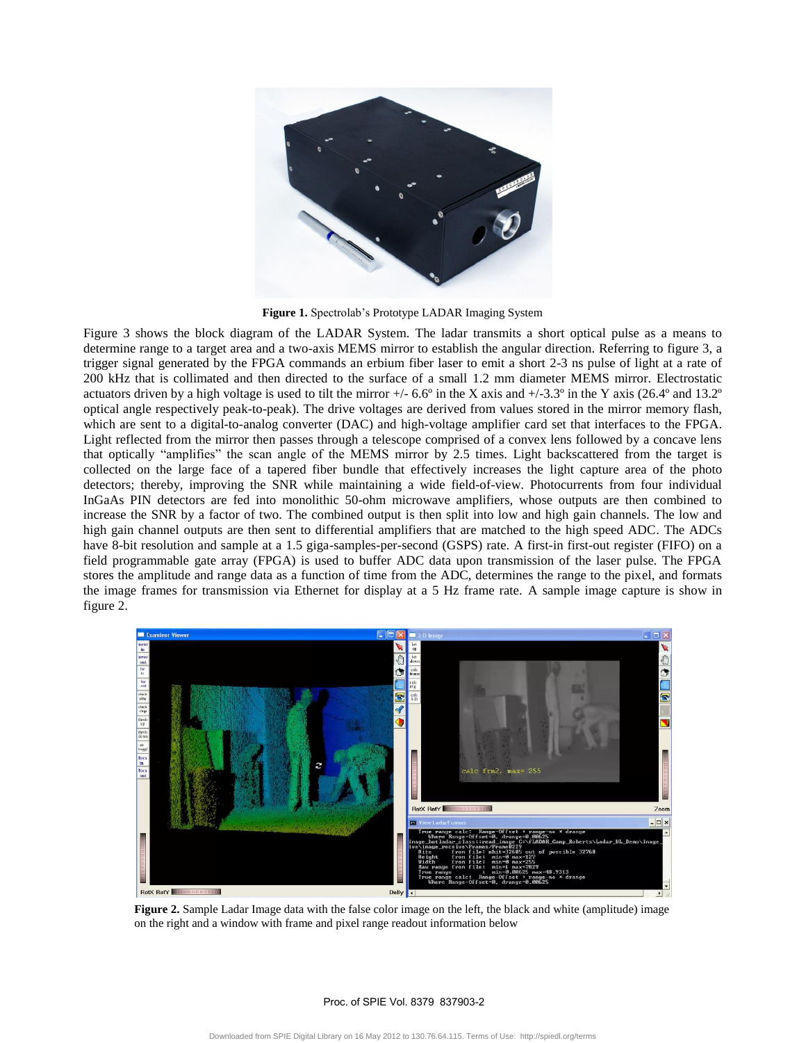

**Figure 1.** Spectrolab's Prototype LADAR Imaging System

Figure 3 shows the block diagram of the LADAR System. The ladar transmits a short optical pulse as a means to determine range to a target area and a two-axis MEMS mirror to establish the angular direction. Referring to figure 3, a trigger signal generated by the FPGA commands an erbium fiber laser to emit a short 2-3 ns pulse of light at a rate of 200 kHz that is collimated and then directed to the surface of a small 1.2 mm diameter MEMS mirror. Electrostatic actuators driven by a high voltage is used to tilt the mirror  $+/- 6.6^\circ$  in the X axis and  $+/-3.3^\circ$  in the Y axis (26.4° and 13.2° optical angle respectively peak-to-peak). The drive voltages are derived from values stored in the mirror memory flash, which are sent to a digital-to-analog converter (DAC) and high-voltage amplifier card set that interfaces to the FPGA. Light reflected from the mirror then passes through a telescope comprised of a convex lens followed by a concave lens that optically "amplifies" the scan angle of the MEMS mirror by 2.5 times. Light backscattered from the target is collected on the large face of a tapered fiber bundle that effectively increases the light capture area of the photo detectors; thereby, improving the SNR while maintaining a wide field-of-view. Photocurrents from four individual InGaAs PIN detectors are fed into monolithic 50-ohm microwave amplifiers, whose outputs are then combined to increase the SNR by a factor of two. The combined output is then split into low and high gain channels. The low and high gain channel outputs are then sent to differential amplifiers that are matched to the high speed ADC. The ADCs have 8-bit resolution and sample at a 1.5 giga-samples-per-second (GSPS) rate. A first-in first-out register (FIFO) on a field programmable gate array (FPGA) is used to buffer ADC data upon transmission of the laser pulse. The FPGA stores the amplitude and range data as a function of time from the ADC, determines the range to the pixel, and formats the image frames for transmission via Ethernet for display at a 5 Hz frame rate. A sample image capture is show in figure 2.



**Figure 2.** Sample Ladar Image data with the false color image on the left, the black and white (amplitude) image on the right and a window with frame and pixel range readout information below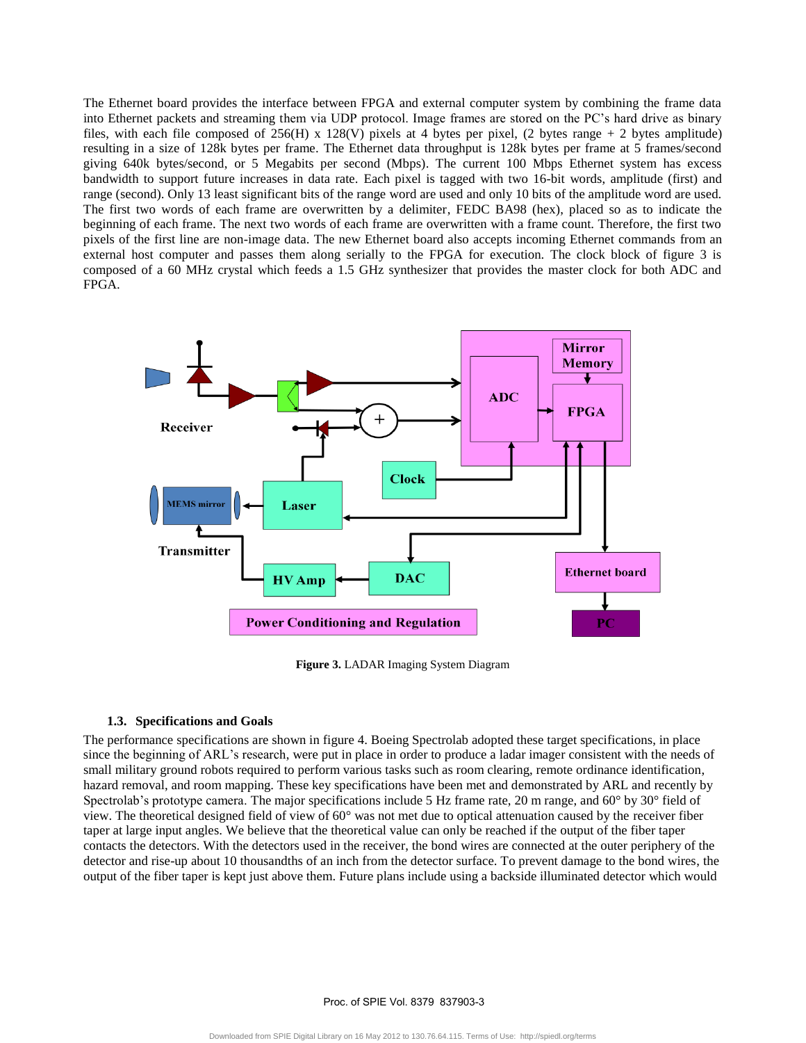The Ethernet board provides the interface between FPGA and external computer system by combining the frame data into Ethernet packets and streaming them via UDP protocol. Image frames are stored on the PC's hard drive as binary files, with each file composed of  $256(H) \times 128(V)$  pixels at 4 bytes per pixel, (2 bytes range + 2 bytes amplitude) resulting in a size of 128k bytes per frame. The Ethernet data throughput is 128k bytes per frame at 5 frames/second giving 640k bytes/second, or 5 Megabits per second (Mbps). The current 100 Mbps Ethernet system has excess bandwidth to support future increases in data rate. Each pixel is tagged with two 16-bit words, amplitude (first) and range (second). Only 13 least significant bits of the range word are used and only 10 bits of the amplitude word are used. The first two words of each frame are overwritten by a delimiter, FEDC BA98 (hex), placed so as to indicate the beginning of each frame. The next two words of each frame are overwritten with a frame count. Therefore, the first two pixels of the first line are non-image data. The new Ethernet board also accepts incoming Ethernet commands from an external host computer and passes them along serially to the FPGA for execution. The clock block of figure 3 is composed of a 60 MHz crystal which feeds a 1.5 GHz synthesizer that provides the master clock for both ADC and FPGA.



**Figure 3.** LADAR Imaging System Diagram

#### **1.3. Specifications and Goals**

The performance specifications are shown in figure 4. Boeing Spectrolab adopted these target specifications, in place since the beginning of ARL's research, were put in place in order to produce a ladar imager consistent with the needs of small military ground robots required to perform various tasks such as room clearing, remote ordinance identification, hazard removal, and room mapping. These key specifications have been met and demonstrated by ARL and recently by Spectrolab's prototype camera. The major specifications include 5 Hz frame rate, 20 m range, and 60° by 30° field of view. The theoretical designed field of view of 60° was not met due to optical attenuation caused by the receiver fiber taper at large input angles. We believe that the theoretical value can only be reached if the output of the fiber taper contacts the detectors. With the detectors used in the receiver, the bond wires are connected at the outer periphery of the detector and rise-up about 10 thousandths of an inch from the detector surface. To prevent damage to the bond wires, the output of the fiber taper is kept just above them. Future plans include using a backside illuminated detector which would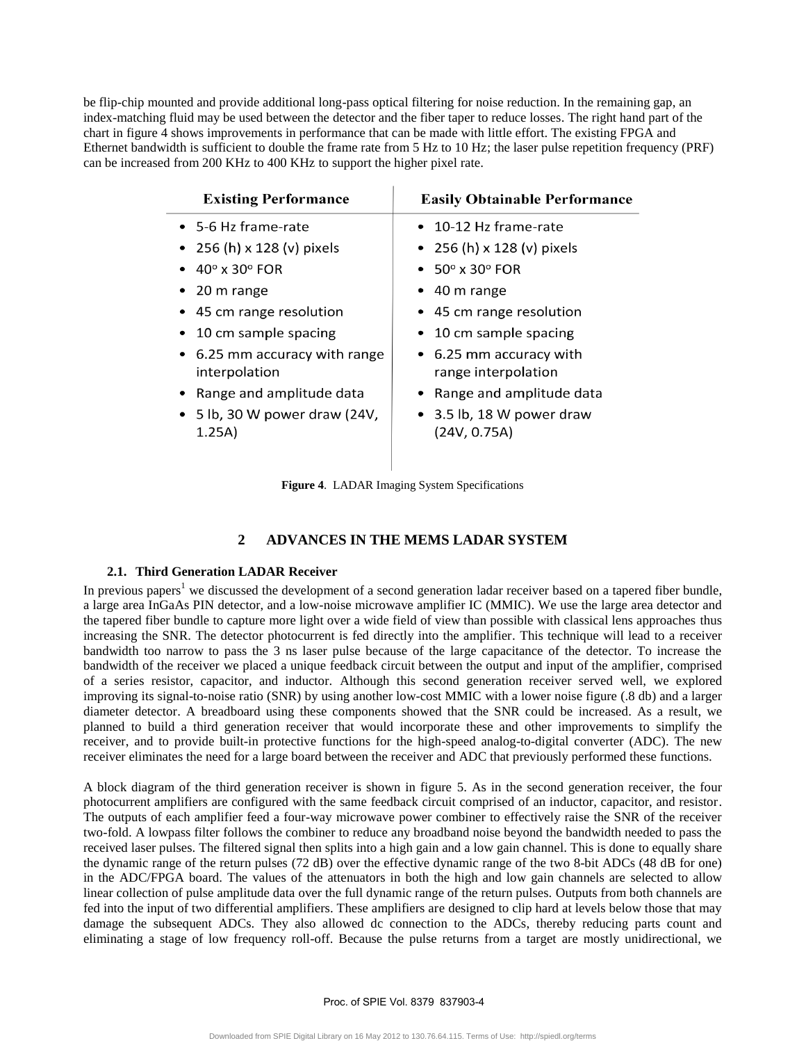be flip-chip mounted and provide additional long-pass optical filtering for noise reduction. In the remaining gap, an index-matching fluid may be used between the detector and the fiber taper to reduce losses. The right hand part of the chart in figure 4 shows improvements in performance that can be made with little effort. The existing FPGA and Ethernet bandwidth is sufficient to double the frame rate from 5 Hz to 10 Hz; the laser pulse repetition frequency (PRF) can be increased from 200 KHz to 400 KHz to support the higher pixel rate.

| <b>Existing Performance</b>                     | <b>Easily Obtainable Performance</b>           |
|-------------------------------------------------|------------------------------------------------|
| • 5-6 Hz frame-rate                             | • 10-12 Hz frame-rate                          |
| • 256 (h) $x$ 128 (v) pixels                    | • 256 (h) $\times$ 128 (v) pixels              |
| $40^{\circ}$ x 30 $^{\circ}$ FOR                | $\bullet$ 50 $\circ$ x 30 $\circ$ FOR          |
| $\bullet$ 20 m range                            | $\bullet$ 40 m range                           |
| • 45 cm range resolution                        | • 45 cm range resolution                       |
| • 10 cm sample spacing                          | • 10 cm sample spacing                         |
| • 6.25 mm accuracy with range<br>interpolation  | • 6.25 mm accuracy with<br>range interpolation |
| • Range and amplitude data                      | • Range and amplitude data                     |
| $\bullet$ 5 lb, 30 W power draw (24V,<br>1.25A) | • 3.5 lb, 18 W power draw<br>(24V, 0.75A)      |

**Figure 4**. LADAR Imaging System Specifications

# **2 ADVANCES IN THE MEMS LADAR SYSTEM**

## **2.1. Third Generation LADAR Receiver**

In previous papers<sup>1</sup> we discussed the development of a second generation ladar receiver based on a tapered fiber bundle, a large area InGaAs PIN detector, and a low-noise microwave amplifier IC (MMIC). We use the large area detector and the tapered fiber bundle to capture more light over a wide field of view than possible with classical lens approaches thus increasing the SNR. The detector photocurrent is fed directly into the amplifier. This technique will lead to a receiver bandwidth too narrow to pass the 3 ns laser pulse because of the large capacitance of the detector. To increase the bandwidth of the receiver we placed a unique feedback circuit between the output and input of the amplifier, comprised of a series resistor, capacitor, and inductor. Although this second generation receiver served well, we explored improving its signal-to-noise ratio (SNR) by using another low-cost MMIC with a lower noise figure (.8 db) and a larger diameter detector. A breadboard using these components showed that the SNR could be increased. As a result, we planned to build a third generation receiver that would incorporate these and other improvements to simplify the receiver, and to provide built-in protective functions for the high-speed analog-to-digital converter (ADC). The new receiver eliminates the need for a large board between the receiver and ADC that previously performed these functions.

A block diagram of the third generation receiver is shown in figure 5. As in the second generation receiver, the four photocurrent amplifiers are configured with the same feedback circuit comprised of an inductor, capacitor, and resistor. The outputs of each amplifier feed a four-way microwave power combiner to effectively raise the SNR of the receiver two-fold. A lowpass filter follows the combiner to reduce any broadband noise beyond the bandwidth needed to pass the received laser pulses. The filtered signal then splits into a high gain and a low gain channel. This is done to equally share the dynamic range of the return pulses (72 dB) over the effective dynamic range of the two 8-bit ADCs (48 dB for one) in the ADC/FPGA board. The values of the attenuators in both the high and low gain channels are selected to allow linear collection of pulse amplitude data over the full dynamic range of the return pulses. Outputs from both channels are fed into the input of two differential amplifiers. These amplifiers are designed to clip hard at levels below those that may damage the subsequent ADCs. They also allowed dc connection to the ADCs, thereby reducing parts count and eliminating a stage of low frequency roll-off. Because the pulse returns from a target are mostly unidirectional, we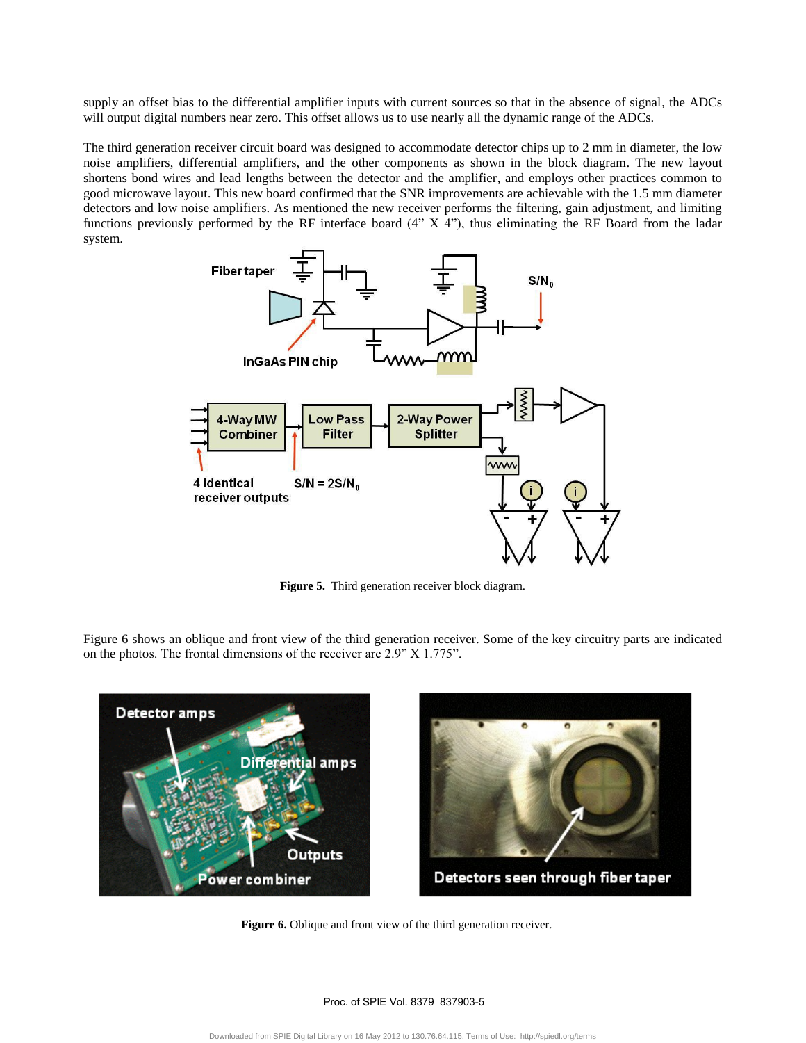supply an offset bias to the differential amplifier inputs with current sources so that in the absence of signal, the ADCs will output digital numbers near zero. This offset allows us to use nearly all the dynamic range of the ADCs.

The third generation receiver circuit board was designed to accommodate detector chips up to 2 mm in diameter, the low noise amplifiers, differential amplifiers, and the other components as shown in the block diagram. The new layout shortens bond wires and lead lengths between the detector and the amplifier, and employs other practices common to good microwave layout. This new board confirmed that the SNR improvements are achievable with the 1.5 mm diameter detectors and low noise amplifiers. As mentioned the new receiver performs the filtering, gain adjustment, and limiting functions previously performed by the RF interface board (4" X 4"), thus eliminating the RF Board from the ladar system.



**Figure 5.** Third generation receiver block diagram.

Figure 6 shows an oblique and front view of the third generation receiver. Some of the key circuitry parts are indicated on the photos. The frontal dimensions of the receiver are 2.9" X 1.775".



**Figure 6.** Oblique and front view of the third generation receiver.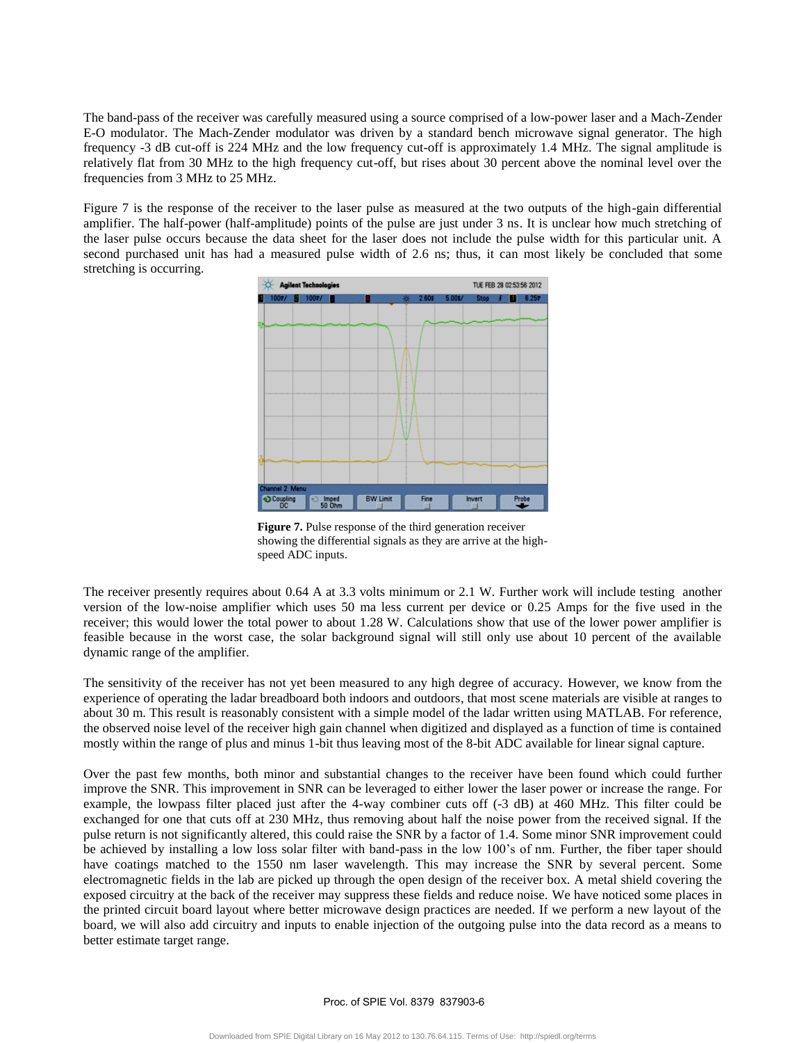The band-pass of the receiver was carefully measured using a source comprised of a low-power laser and a Mach-Zender E-O modulator. The Mach-Zender modulator was driven by a standard bench microwave signal generator. The high frequency -3 dB cut-off is 224 MHz and the low frequency cut-off is approximately 1.4 MHz. The signal amplitude is relatively flat from 30 MHz to the high frequency cut-off, but rises about 30 percent above the nominal level over the frequencies from 3 MHz to 25 MHz.

Figure 7 is the response of the receiver to the laser pulse as measured at the two outputs of the high-gain differential amplifier. The half-power (half-amplitude) points of the pulse are just under 3 ns. It is unclear how much stretching of the laser pulse occurs because the data sheet for the laser does not include the pulse width for this particular unit. A second purchased unit has had a measured pulse width of 2.6 ns; thus, it can most likely be concluded that some stretching is occurring.



**Figure 7.** Pulse response of the third generation receiver showing the differential signals as they are arrive at the highspeed ADC inputs.

The receiver presently requires about 0.64 A at 3.3 volts minimum or 2.1 W. Further work will include testing another version of the low-noise amplifier which uses 50 ma less current per device or 0.25 Amps for the five used in the receiver; this would lower the total power to about 1.28 W. Calculations show that use of the lower power amplifier is feasible because in the worst case, the solar background signal will still only use about 10 percent of the available dynamic range of the amplifier.

The sensitivity of the receiver has not yet been measured to any high degree of accuracy. However, we know from the experience of operating the ladar breadboard both indoors and outdoors, that most scene materials are visible at ranges to about 30 m. This result is reasonably consistent with a simple model of the ladar written using MATLAB. For reference, the observed noise level of the receiver high gain channel when digitized and displayed as a function of time is contained mostly within the range of plus and minus 1-bit thus leaving most of the 8-bit ADC available for linear signal capture.

Over the past few months, both minor and substantial changes to the receiver have been found which could further improve the SNR. This improvement in SNR can be leveraged to either lower the laser power or increase the range. For example, the lowpass filter placed just after the 4-way combiner cuts off (-3 dB) at 460 MHz. This filter could be exchanged for one that cuts off at 230 MHz, thus removing about half the noise power from the received signal. If the pulse return is not significantly altered, this could raise the SNR by a factor of 1.4. Some minor SNR improvement could be achieved by installing a low loss solar filter with band-pass in the low 100's of nm. Further, the fiber taper should have coatings matched to the 1550 nm laser wavelength. This may increase the SNR by several percent. Some electromagnetic fields in the lab are picked up through the open design of the receiver box. A metal shield covering the exposed circuitry at the back of the receiver may suppress these fields and reduce noise. We have noticed some places in the printed circuit board layout where better microwave design practices are needed. If we perform a new layout of the board, we will also add circuitry and inputs to enable injection of the outgoing pulse into the data record as a means to better estimate target range.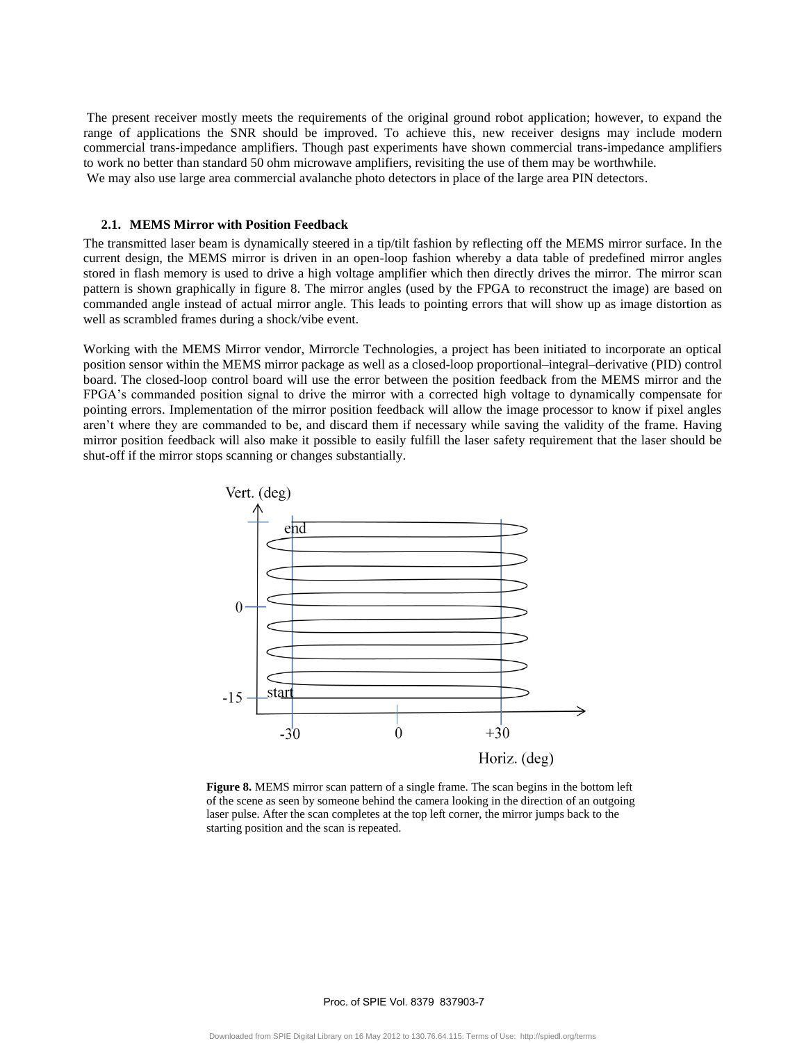The present receiver mostly meets the requirements of the original ground robot application; however, to expand the range of applications the SNR should be improved. To achieve this, new receiver designs may include modern commercial trans-impedance amplifiers. Though past experiments have shown commercial trans-impedance amplifiers to work no better than standard 50 ohm microwave amplifiers, revisiting the use of them may be worthwhile. We may also use large area commercial avalanche photo detectors in place of the large area PIN detectors.

#### **2.1. MEMS Mirror with Position Feedback**

The transmitted laser beam is dynamically steered in a tip/tilt fashion by reflecting off the MEMS mirror surface. In the current design, the MEMS mirror is driven in an open-loop fashion whereby a data table of predefined mirror angles stored in flash memory is used to drive a high voltage amplifier which then directly drives the mirror. The mirror scan pattern is shown graphically in figure 8. The mirror angles (used by the FPGA to reconstruct the image) are based on commanded angle instead of actual mirror angle. This leads to pointing errors that will show up as image distortion as well as scrambled frames during a shock/vibe event.

Working with the MEMS Mirror vendor, Mirrorcle Technologies, a project has been initiated to incorporate an optical position sensor within the MEMS mirror package as well as a closed-loop proportional–integral–derivative (PID) control board. The closed-loop control board will use the error between the position feedback from the MEMS mirror and the FPGA's commanded position signal to drive the mirror with a corrected high voltage to dynamically compensate for pointing errors. Implementation of the mirror position feedback will allow the image processor to know if pixel angles aren't where they are commanded to be, and discard them if necessary while saving the validity of the frame. Having mirror position feedback will also make it possible to easily fulfill the laser safety requirement that the laser should be shut-off if the mirror stops scanning or changes substantially.



**Figure 8.** MEMS mirror scan pattern of a single frame. The scan begins in the bottom left of the scene as seen by someone behind the camera looking in the direction of an outgoing laser pulse. After the scan completes at the top left corner, the mirror jumps back to the starting position and the scan is repeated.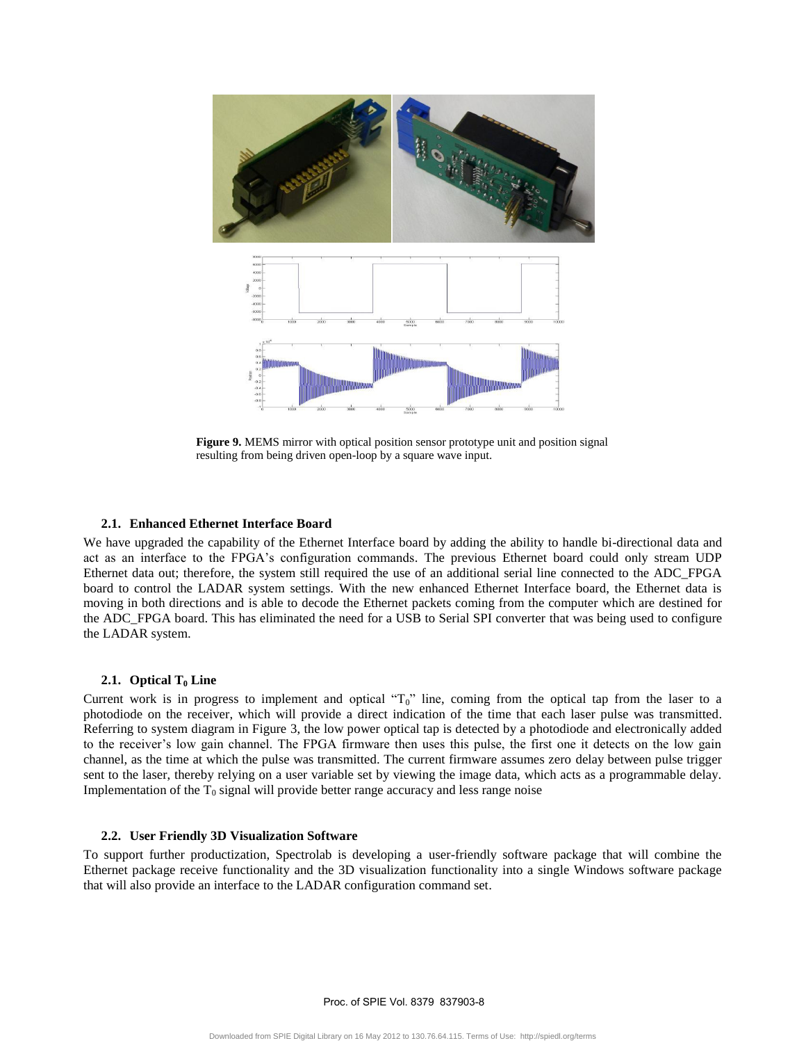

**Figure 9.** MEMS mirror with optical position sensor prototype unit and position signal resulting from being driven open-loop by a square wave input.

#### **2.1. Enhanced Ethernet Interface Board**

We have upgraded the capability of the Ethernet Interface board by adding the ability to handle bi-directional data and act as an interface to the FPGA's configuration commands. The previous Ethernet board could only stream UDP Ethernet data out; therefore, the system still required the use of an additional serial line connected to the ADC\_FPGA board to control the LADAR system settings. With the new enhanced Ethernet Interface board, the Ethernet data is moving in both directions and is able to decode the Ethernet packets coming from the computer which are destined for the ADC\_FPGA board. This has eliminated the need for a USB to Serial SPI converter that was being used to configure the LADAR system.

#### **2.1. Optical**  $T_0$  **<b>Line**

Current work is in progress to implement and optical " $T_0$ " line, coming from the optical tap from the laser to a photodiode on the receiver, which will provide a direct indication of the time that each laser pulse was transmitted. Referring to system diagram in Figure 3, the low power optical tap is detected by a photodiode and electronically added to the receiver's low gain channel. The FPGA firmware then uses this pulse, the first one it detects on the low gain channel, as the time at which the pulse was transmitted. The current firmware assumes zero delay between pulse trigger sent to the laser, thereby relying on a user variable set by viewing the image data, which acts as a programmable delay. Implementation of the  $T_0$  signal will provide better range accuracy and less range noise

### **2.2. User Friendly 3D Visualization Software**

To support further productization, Spectrolab is developing a user-friendly software package that will combine the Ethernet package receive functionality and the 3D visualization functionality into a single Windows software package that will also provide an interface to the LADAR configuration command set.